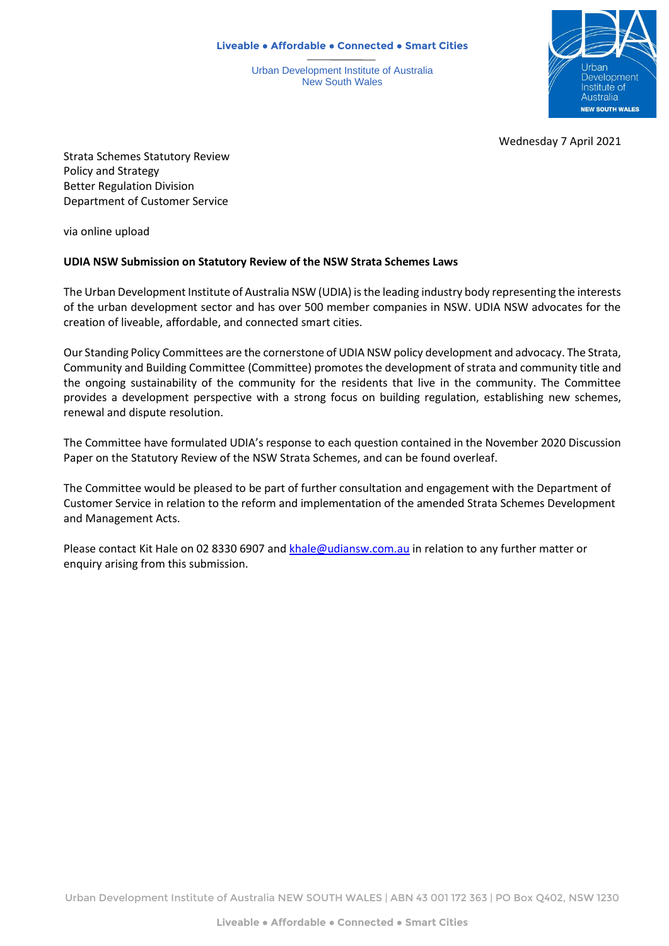**Liveable ● Affordable ● Connected ● Smart Cities**

Urban Development Institute of Australia New South Wales



Wednesday 7 April 2021

Strata Schemes Statutory Review Policy and Strategy Better Regulation Division Department of Customer Service

via online upload

## **UDIA NSW Submission on Statutory Review of the NSW Strata Schemes Laws**

The Urban Development Institute of Australia NSW (UDIA) is the leading industry body representing the interests of the urban development sector and has over 500 member companies in NSW. UDIA NSW advocates for the creation of liveable, affordable, and connected smart cities.

Our Standing Policy Committees are the cornerstone of UDIA NSW policy development and advocacy. The Strata, Community and Building Committee (Committee) promotes the development of strata and community title and the ongoing sustainability of the community for the residents that live in the community. The Committee provides a development perspective with a strong focus on building regulation, establishing new schemes, renewal and dispute resolution.

The Committee have formulated UDIA's response to each question contained in the November 2020 Discussion Paper on the Statutory Review of the NSW Strata Schemes, and can be found overleaf.

The Committee would be pleased to be part of further consultation and engagement with the Department of Customer Service in relation to the reform and implementation of the amended Strata Schemes Development and Management Acts.

Please contact Kit Hale on 02 8330 6907 an[d khale@udiansw.com.au](mailto:khale@udiansw.com.au) in relation to any further matter or enquiry arising from this submission.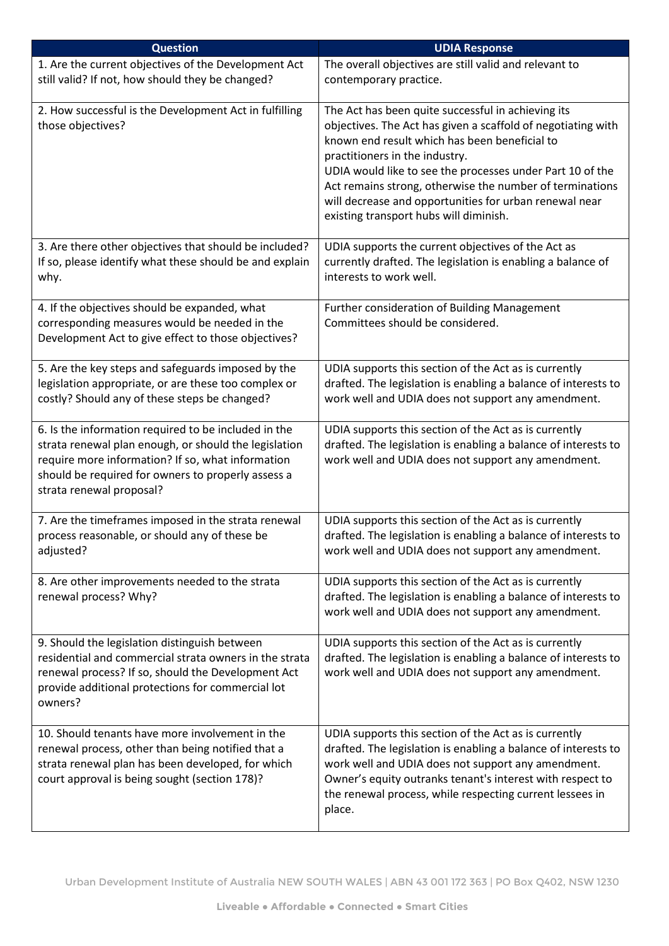| <b>Question</b>                                                                                                                                                                                                                                      | <b>UDIA Response</b>                                                                                                                                                                                                                                                                                                                                                                                                               |
|------------------------------------------------------------------------------------------------------------------------------------------------------------------------------------------------------------------------------------------------------|------------------------------------------------------------------------------------------------------------------------------------------------------------------------------------------------------------------------------------------------------------------------------------------------------------------------------------------------------------------------------------------------------------------------------------|
| 1. Are the current objectives of the Development Act<br>still valid? If not, how should they be changed?                                                                                                                                             | The overall objectives are still valid and relevant to<br>contemporary practice.                                                                                                                                                                                                                                                                                                                                                   |
| 2. How successful is the Development Act in fulfilling<br>those objectives?                                                                                                                                                                          | The Act has been quite successful in achieving its<br>objectives. The Act has given a scaffold of negotiating with<br>known end result which has been beneficial to<br>practitioners in the industry.<br>UDIA would like to see the processes under Part 10 of the<br>Act remains strong, otherwise the number of terminations<br>will decrease and opportunities for urban renewal near<br>existing transport hubs will diminish. |
| 3. Are there other objectives that should be included?<br>If so, please identify what these should be and explain<br>why.                                                                                                                            | UDIA supports the current objectives of the Act as<br>currently drafted. The legislation is enabling a balance of<br>interests to work well.                                                                                                                                                                                                                                                                                       |
| 4. If the objectives should be expanded, what<br>corresponding measures would be needed in the<br>Development Act to give effect to those objectives?                                                                                                | Further consideration of Building Management<br>Committees should be considered.                                                                                                                                                                                                                                                                                                                                                   |
| 5. Are the key steps and safeguards imposed by the<br>legislation appropriate, or are these too complex or<br>costly? Should any of these steps be changed?                                                                                          | UDIA supports this section of the Act as is currently<br>drafted. The legislation is enabling a balance of interests to<br>work well and UDIA does not support any amendment.                                                                                                                                                                                                                                                      |
| 6. Is the information required to be included in the<br>strata renewal plan enough, or should the legislation<br>require more information? If so, what information<br>should be required for owners to properly assess a<br>strata renewal proposal? | UDIA supports this section of the Act as is currently<br>drafted. The legislation is enabling a balance of interests to<br>work well and UDIA does not support any amendment.                                                                                                                                                                                                                                                      |
| 7. Are the timeframes imposed in the strata renewal<br>process reasonable, or should any of these be<br>adjusted?                                                                                                                                    | UDIA supports this section of the Act as is currently<br>drafted. The legislation is enabling a balance of interests to<br>work well and UDIA does not support any amendment.                                                                                                                                                                                                                                                      |
| 8. Are other improvements needed to the strata<br>renewal process? Why?                                                                                                                                                                              | UDIA supports this section of the Act as is currently<br>drafted. The legislation is enabling a balance of interests to<br>work well and UDIA does not support any amendment.                                                                                                                                                                                                                                                      |
| 9. Should the legislation distinguish between<br>residential and commercial strata owners in the strata<br>renewal process? If so, should the Development Act<br>provide additional protections for commercial lot<br>owners?                        | UDIA supports this section of the Act as is currently<br>drafted. The legislation is enabling a balance of interests to<br>work well and UDIA does not support any amendment.                                                                                                                                                                                                                                                      |
| 10. Should tenants have more involvement in the<br>renewal process, other than being notified that a<br>strata renewal plan has been developed, for which<br>court approval is being sought (section 178)?                                           | UDIA supports this section of the Act as is currently<br>drafted. The legislation is enabling a balance of interests to<br>work well and UDIA does not support any amendment.<br>Owner's equity outranks tenant's interest with respect to<br>the renewal process, while respecting current lessees in<br>place.                                                                                                                   |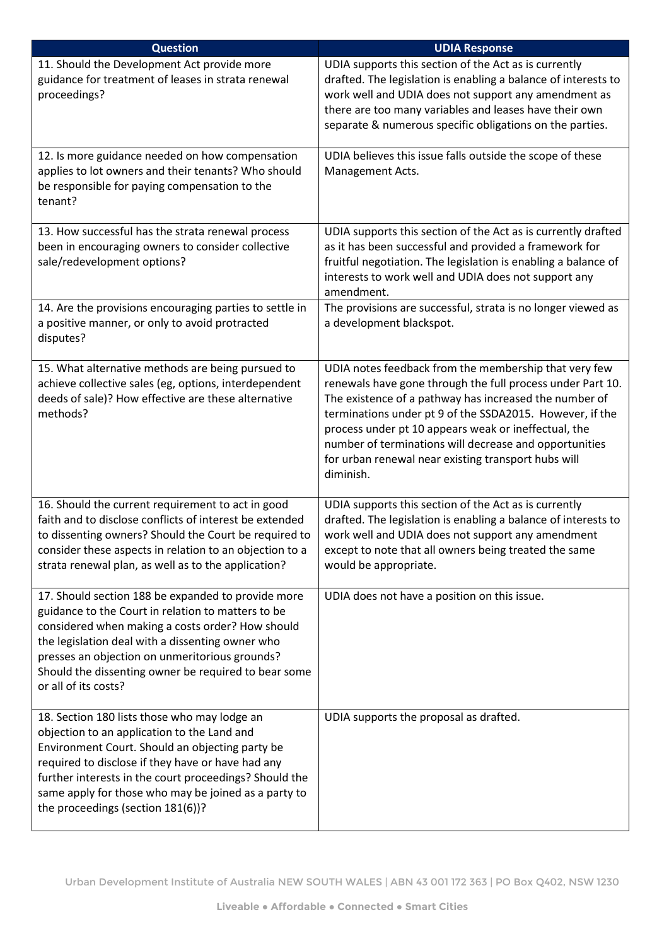| <b>Question</b>                                                                                                                                                                                                                                                                                                                                            | <b>UDIA Response</b>                                                                                                                                                                                                                                                                                                                                                                                                            |
|------------------------------------------------------------------------------------------------------------------------------------------------------------------------------------------------------------------------------------------------------------------------------------------------------------------------------------------------------------|---------------------------------------------------------------------------------------------------------------------------------------------------------------------------------------------------------------------------------------------------------------------------------------------------------------------------------------------------------------------------------------------------------------------------------|
| 11. Should the Development Act provide more<br>guidance for treatment of leases in strata renewal<br>proceedings?                                                                                                                                                                                                                                          | UDIA supports this section of the Act as is currently<br>drafted. The legislation is enabling a balance of interests to<br>work well and UDIA does not support any amendment as<br>there are too many variables and leases have their own<br>separate & numerous specific obligations on the parties.                                                                                                                           |
| 12. Is more guidance needed on how compensation<br>applies to lot owners and their tenants? Who should<br>be responsible for paying compensation to the<br>tenant?                                                                                                                                                                                         | UDIA believes this issue falls outside the scope of these<br>Management Acts.                                                                                                                                                                                                                                                                                                                                                   |
| 13. How successful has the strata renewal process<br>been in encouraging owners to consider collective<br>sale/redevelopment options?                                                                                                                                                                                                                      | UDIA supports this section of the Act as is currently drafted<br>as it has been successful and provided a framework for<br>fruitful negotiation. The legislation is enabling a balance of<br>interests to work well and UDIA does not support any<br>amendment.                                                                                                                                                                 |
| 14. Are the provisions encouraging parties to settle in<br>a positive manner, or only to avoid protracted<br>disputes?                                                                                                                                                                                                                                     | The provisions are successful, strata is no longer viewed as<br>a development blackspot.                                                                                                                                                                                                                                                                                                                                        |
| 15. What alternative methods are being pursued to<br>achieve collective sales (eg, options, interdependent<br>deeds of sale)? How effective are these alternative<br>methods?                                                                                                                                                                              | UDIA notes feedback from the membership that very few<br>renewals have gone through the full process under Part 10.<br>The existence of a pathway has increased the number of<br>terminations under pt 9 of the SSDA2015. However, if the<br>process under pt 10 appears weak or ineffectual, the<br>number of terminations will decrease and opportunities<br>for urban renewal near existing transport hubs will<br>diminish. |
| 16. Should the current requirement to act in good<br>faith and to disclose conflicts of interest be extended<br>to dissenting owners? Should the Court be required to<br>consider these aspects in relation to an objection to a<br>strata renewal plan, as well as to the application?                                                                    | UDIA supports this section of the Act as is currently<br>drafted. The legislation is enabling a balance of interests to<br>work well and UDIA does not support any amendment<br>except to note that all owners being treated the same<br>would be appropriate.                                                                                                                                                                  |
| 17. Should section 188 be expanded to provide more<br>guidance to the Court in relation to matters to be<br>considered when making a costs order? How should<br>the legislation deal with a dissenting owner who<br>presses an objection on unmeritorious grounds?<br>Should the dissenting owner be required to bear some<br>or all of its costs?         | UDIA does not have a position on this issue.                                                                                                                                                                                                                                                                                                                                                                                    |
| 18. Section 180 lists those who may lodge an<br>objection to an application to the Land and<br>Environment Court. Should an objecting party be<br>required to disclose if they have or have had any<br>further interests in the court proceedings? Should the<br>same apply for those who may be joined as a party to<br>the proceedings (section 181(6))? | UDIA supports the proposal as drafted.                                                                                                                                                                                                                                                                                                                                                                                          |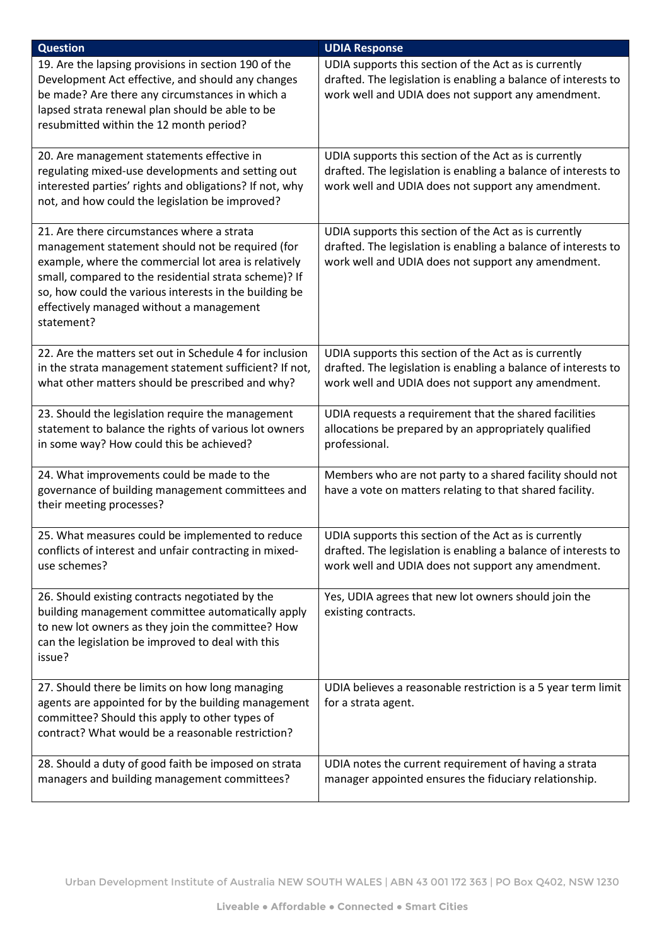| <b>Question</b>                                                                                                                                                                                                                                                                                                                     | <b>UDIA Response</b>                                                                                                                                                          |
|-------------------------------------------------------------------------------------------------------------------------------------------------------------------------------------------------------------------------------------------------------------------------------------------------------------------------------------|-------------------------------------------------------------------------------------------------------------------------------------------------------------------------------|
| 19. Are the lapsing provisions in section 190 of the<br>Development Act effective, and should any changes<br>be made? Are there any circumstances in which a<br>lapsed strata renewal plan should be able to be<br>resubmitted within the 12 month period?                                                                          | UDIA supports this section of the Act as is currently<br>drafted. The legislation is enabling a balance of interests to<br>work well and UDIA does not support any amendment. |
| 20. Are management statements effective in<br>regulating mixed-use developments and setting out<br>interested parties' rights and obligations? If not, why<br>not, and how could the legislation be improved?                                                                                                                       | UDIA supports this section of the Act as is currently<br>drafted. The legislation is enabling a balance of interests to<br>work well and UDIA does not support any amendment. |
| 21. Are there circumstances where a strata<br>management statement should not be required (for<br>example, where the commercial lot area is relatively<br>small, compared to the residential strata scheme)? If<br>so, how could the various interests in the building be<br>effectively managed without a management<br>statement? | UDIA supports this section of the Act as is currently<br>drafted. The legislation is enabling a balance of interests to<br>work well and UDIA does not support any amendment. |
| 22. Are the matters set out in Schedule 4 for inclusion<br>in the strata management statement sufficient? If not,<br>what other matters should be prescribed and why?                                                                                                                                                               | UDIA supports this section of the Act as is currently<br>drafted. The legislation is enabling a balance of interests to<br>work well and UDIA does not support any amendment. |
| 23. Should the legislation require the management<br>statement to balance the rights of various lot owners<br>in some way? How could this be achieved?                                                                                                                                                                              | UDIA requests a requirement that the shared facilities<br>allocations be prepared by an appropriately qualified<br>professional.                                              |
| 24. What improvements could be made to the<br>governance of building management committees and<br>their meeting processes?                                                                                                                                                                                                          | Members who are not party to a shared facility should not<br>have a vote on matters relating to that shared facility.                                                         |
| 25. What measures could be implemented to reduce<br>conflicts of interest and unfair contracting in mixed-<br>use schemes?                                                                                                                                                                                                          | UDIA supports this section of the Act as is currently<br>drafted. The legislation is enabling a balance of interests to<br>work well and UDIA does not support any amendment. |
| 26. Should existing contracts negotiated by the<br>building management committee automatically apply<br>to new lot owners as they join the committee? How<br>can the legislation be improved to deal with this<br>issue?                                                                                                            | Yes, UDIA agrees that new lot owners should join the<br>existing contracts.                                                                                                   |
| 27. Should there be limits on how long managing<br>agents are appointed for by the building management<br>committee? Should this apply to other types of<br>contract? What would be a reasonable restriction?                                                                                                                       | UDIA believes a reasonable restriction is a 5 year term limit<br>for a strata agent.                                                                                          |
| 28. Should a duty of good faith be imposed on strata<br>managers and building management committees?                                                                                                                                                                                                                                | UDIA notes the current requirement of having a strata<br>manager appointed ensures the fiduciary relationship.                                                                |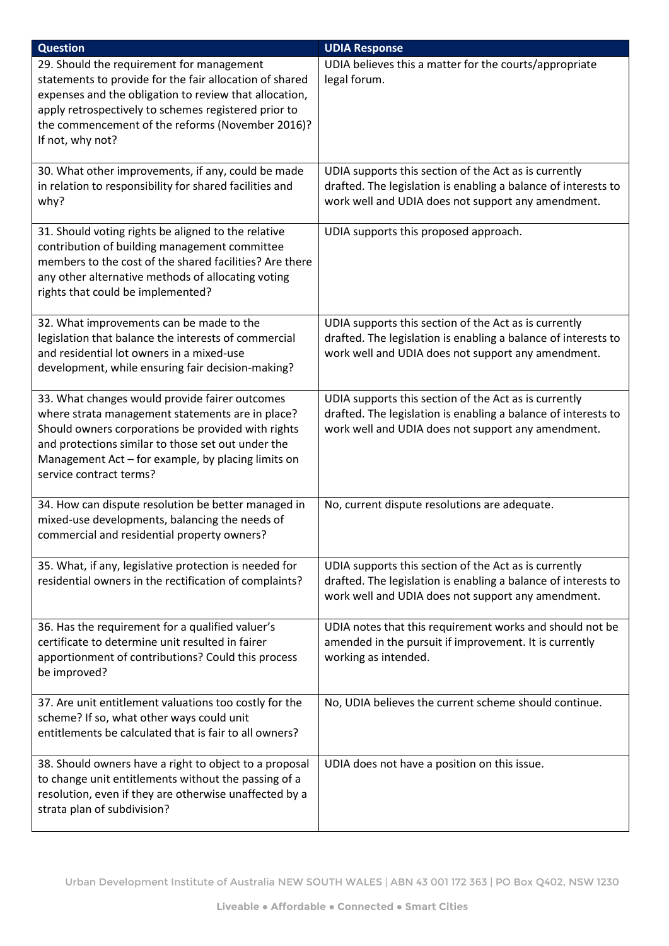| <b>Question</b>                                                                                                                                                                                                                                                                                 | <b>UDIA Response</b>                                                                                                                                                          |
|-------------------------------------------------------------------------------------------------------------------------------------------------------------------------------------------------------------------------------------------------------------------------------------------------|-------------------------------------------------------------------------------------------------------------------------------------------------------------------------------|
| 29. Should the requirement for management<br>statements to provide for the fair allocation of shared<br>expenses and the obligation to review that allocation,<br>apply retrospectively to schemes registered prior to<br>the commencement of the reforms (November 2016)?<br>If not, why not?  | UDIA believes this a matter for the courts/appropriate<br>legal forum.                                                                                                        |
| 30. What other improvements, if any, could be made<br>in relation to responsibility for shared facilities and<br>why?                                                                                                                                                                           | UDIA supports this section of the Act as is currently<br>drafted. The legislation is enabling a balance of interests to<br>work well and UDIA does not support any amendment. |
| 31. Should voting rights be aligned to the relative<br>contribution of building management committee<br>members to the cost of the shared facilities? Are there<br>any other alternative methods of allocating voting<br>rights that could be implemented?                                      | UDIA supports this proposed approach.                                                                                                                                         |
| 32. What improvements can be made to the<br>legislation that balance the interests of commercial<br>and residential lot owners in a mixed-use<br>development, while ensuring fair decision-making?                                                                                              | UDIA supports this section of the Act as is currently<br>drafted. The legislation is enabling a balance of interests to<br>work well and UDIA does not support any amendment. |
| 33. What changes would provide fairer outcomes<br>where strata management statements are in place?<br>Should owners corporations be provided with rights<br>and protections similar to those set out under the<br>Management Act - for example, by placing limits on<br>service contract terms? | UDIA supports this section of the Act as is currently<br>drafted. The legislation is enabling a balance of interests to<br>work well and UDIA does not support any amendment. |
| 34. How can dispute resolution be better managed in<br>mixed-use developments, balancing the needs of<br>commercial and residential property owners?                                                                                                                                            | No, current dispute resolutions are adequate.                                                                                                                                 |
| 35. What, if any, legislative protection is needed for<br>residential owners in the rectification of complaints?                                                                                                                                                                                | UDIA supports this section of the Act as is currently<br>drafted. The legislation is enabling a balance of interests to<br>work well and UDIA does not support any amendment. |
| 36. Has the requirement for a qualified valuer's<br>certificate to determine unit resulted in fairer<br>apportionment of contributions? Could this process<br>be improved?                                                                                                                      | UDIA notes that this requirement works and should not be<br>amended in the pursuit if improvement. It is currently<br>working as intended.                                    |
| 37. Are unit entitlement valuations too costly for the<br>scheme? If so, what other ways could unit<br>entitlements be calculated that is fair to all owners?                                                                                                                                   | No, UDIA believes the current scheme should continue.                                                                                                                         |
| 38. Should owners have a right to object to a proposal<br>to change unit entitlements without the passing of a<br>resolution, even if they are otherwise unaffected by a<br>strata plan of subdivision?                                                                                         | UDIA does not have a position on this issue.                                                                                                                                  |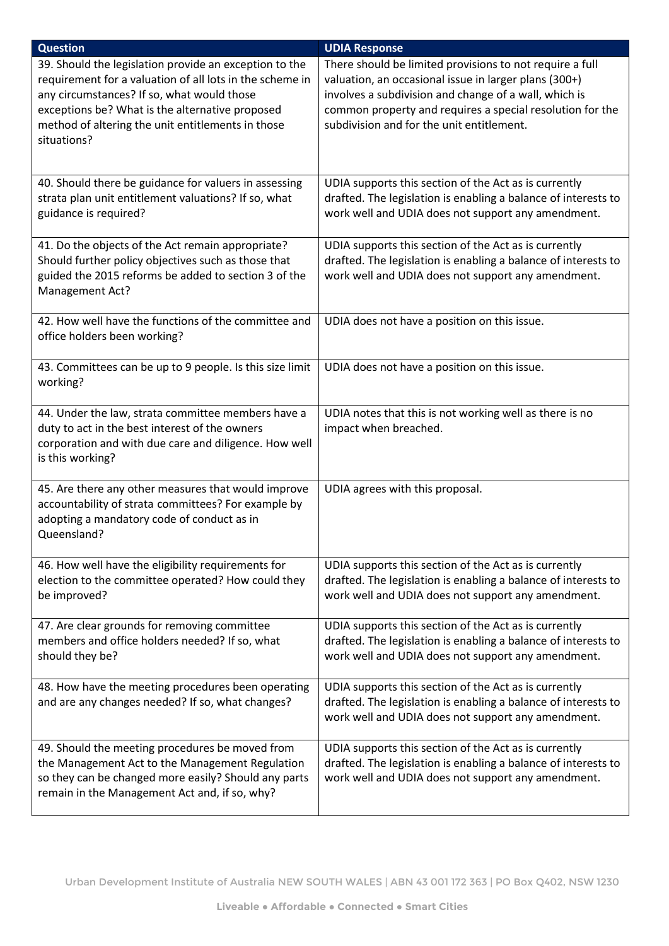| <b>Question</b>                                                                                                                                                                                                                                                                         | <b>UDIA Response</b>                                                                                                                                                                                                                                                                 |
|-----------------------------------------------------------------------------------------------------------------------------------------------------------------------------------------------------------------------------------------------------------------------------------------|--------------------------------------------------------------------------------------------------------------------------------------------------------------------------------------------------------------------------------------------------------------------------------------|
| 39. Should the legislation provide an exception to the<br>requirement for a valuation of all lots in the scheme in<br>any circumstances? If so, what would those<br>exceptions be? What is the alternative proposed<br>method of altering the unit entitlements in those<br>situations? | There should be limited provisions to not require a full<br>valuation, an occasional issue in larger plans (300+)<br>involves a subdivision and change of a wall, which is<br>common property and requires a special resolution for the<br>subdivision and for the unit entitlement. |
| 40. Should there be guidance for valuers in assessing<br>strata plan unit entitlement valuations? If so, what<br>guidance is required?                                                                                                                                                  | UDIA supports this section of the Act as is currently<br>drafted. The legislation is enabling a balance of interests to<br>work well and UDIA does not support any amendment.                                                                                                        |
| 41. Do the objects of the Act remain appropriate?<br>Should further policy objectives such as those that<br>guided the 2015 reforms be added to section 3 of the<br>Management Act?                                                                                                     | UDIA supports this section of the Act as is currently<br>drafted. The legislation is enabling a balance of interests to<br>work well and UDIA does not support any amendment.                                                                                                        |
| 42. How well have the functions of the committee and<br>office holders been working?                                                                                                                                                                                                    | UDIA does not have a position on this issue.                                                                                                                                                                                                                                         |
| 43. Committees can be up to 9 people. Is this size limit<br>working?                                                                                                                                                                                                                    | UDIA does not have a position on this issue.                                                                                                                                                                                                                                         |
| 44. Under the law, strata committee members have a<br>duty to act in the best interest of the owners<br>corporation and with due care and diligence. How well<br>is this working?                                                                                                       | UDIA notes that this is not working well as there is no<br>impact when breached.                                                                                                                                                                                                     |
| 45. Are there any other measures that would improve<br>accountability of strata committees? For example by<br>adopting a mandatory code of conduct as in<br>Queensland?                                                                                                                 | UDIA agrees with this proposal.                                                                                                                                                                                                                                                      |
| 46. How well have the eligibility requirements for<br>election to the committee operated? How could they<br>be improved?                                                                                                                                                                | UDIA supports this section of the Act as is currently<br>drafted. The legislation is enabling a balance of interests to<br>work well and UDIA does not support any amendment.                                                                                                        |
| 47. Are clear grounds for removing committee<br>members and office holders needed? If so, what<br>should they be?                                                                                                                                                                       | UDIA supports this section of the Act as is currently<br>drafted. The legislation is enabling a balance of interests to<br>work well and UDIA does not support any amendment.                                                                                                        |
| 48. How have the meeting procedures been operating<br>and are any changes needed? If so, what changes?                                                                                                                                                                                  | UDIA supports this section of the Act as is currently<br>drafted. The legislation is enabling a balance of interests to<br>work well and UDIA does not support any amendment.                                                                                                        |
| 49. Should the meeting procedures be moved from<br>the Management Act to the Management Regulation<br>so they can be changed more easily? Should any parts<br>remain in the Management Act and, if so, why?                                                                             | UDIA supports this section of the Act as is currently<br>drafted. The legislation is enabling a balance of interests to<br>work well and UDIA does not support any amendment.                                                                                                        |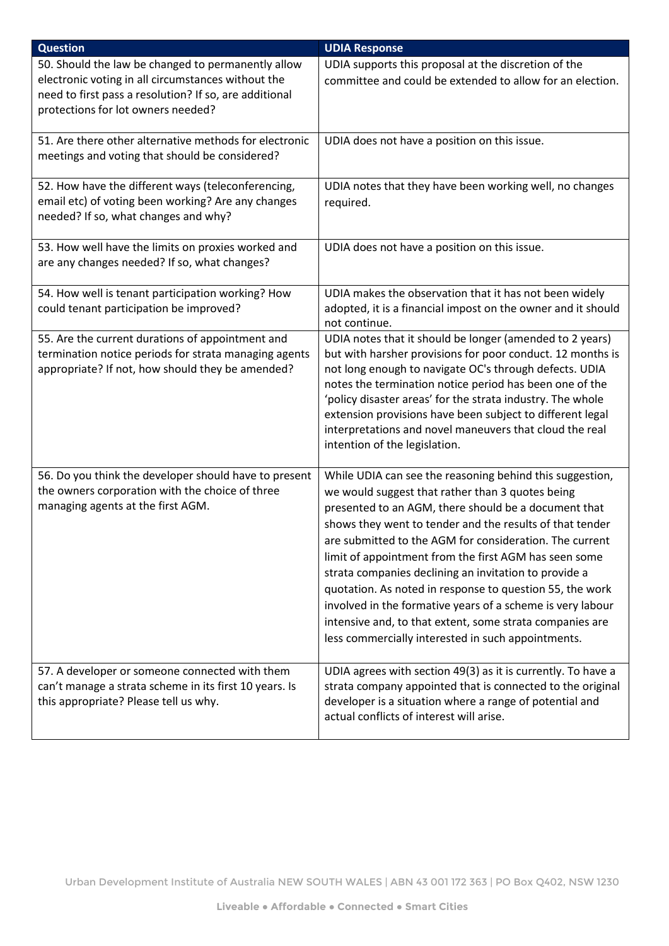| <b>Question</b>                                                                                                                                                                                          | <b>UDIA Response</b>                                                                                                                                                                                                                                                                                                                                                                                                                                                                                                                                                                                                                                      |
|----------------------------------------------------------------------------------------------------------------------------------------------------------------------------------------------------------|-----------------------------------------------------------------------------------------------------------------------------------------------------------------------------------------------------------------------------------------------------------------------------------------------------------------------------------------------------------------------------------------------------------------------------------------------------------------------------------------------------------------------------------------------------------------------------------------------------------------------------------------------------------|
| 50. Should the law be changed to permanently allow<br>electronic voting in all circumstances without the<br>need to first pass a resolution? If so, are additional<br>protections for lot owners needed? | UDIA supports this proposal at the discretion of the<br>committee and could be extended to allow for an election.                                                                                                                                                                                                                                                                                                                                                                                                                                                                                                                                         |
| 51. Are there other alternative methods for electronic<br>meetings and voting that should be considered?                                                                                                 | UDIA does not have a position on this issue.                                                                                                                                                                                                                                                                                                                                                                                                                                                                                                                                                                                                              |
| 52. How have the different ways (teleconferencing,<br>email etc) of voting been working? Are any changes<br>needed? If so, what changes and why?                                                         | UDIA notes that they have been working well, no changes<br>required.                                                                                                                                                                                                                                                                                                                                                                                                                                                                                                                                                                                      |
| 53. How well have the limits on proxies worked and<br>are any changes needed? If so, what changes?                                                                                                       | UDIA does not have a position on this issue.                                                                                                                                                                                                                                                                                                                                                                                                                                                                                                                                                                                                              |
| 54. How well is tenant participation working? How<br>could tenant participation be improved?                                                                                                             | UDIA makes the observation that it has not been widely<br>adopted, it is a financial impost on the owner and it should<br>not continue.                                                                                                                                                                                                                                                                                                                                                                                                                                                                                                                   |
| 55. Are the current durations of appointment and<br>termination notice periods for strata managing agents<br>appropriate? If not, how should they be amended?                                            | UDIA notes that it should be longer (amended to 2 years)<br>but with harsher provisions for poor conduct. 12 months is<br>not long enough to navigate OC's through defects. UDIA<br>notes the termination notice period has been one of the<br>'policy disaster areas' for the strata industry. The whole<br>extension provisions have been subject to different legal<br>interpretations and novel maneuvers that cloud the real<br>intention of the legislation.                                                                                                                                                                                        |
| 56. Do you think the developer should have to present<br>the owners corporation with the choice of three<br>managing agents at the first AGM.                                                            | While UDIA can see the reasoning behind this suggestion,<br>we would suggest that rather than 3 quotes being<br>presented to an AGM, there should be a document that<br>shows they went to tender and the results of that tender<br>are submitted to the AGM for consideration. The current<br>limit of appointment from the first AGM has seen some<br>strata companies declining an invitation to provide a<br>quotation. As noted in response to question 55, the work<br>involved in the formative years of a scheme is very labour<br>intensive and, to that extent, some strata companies are<br>less commercially interested in such appointments. |
| 57. A developer or someone connected with them<br>can't manage a strata scheme in its first 10 years. Is<br>this appropriate? Please tell us why.                                                        | UDIA agrees with section 49(3) as it is currently. To have a<br>strata company appointed that is connected to the original<br>developer is a situation where a range of potential and<br>actual conflicts of interest will arise.                                                                                                                                                                                                                                                                                                                                                                                                                         |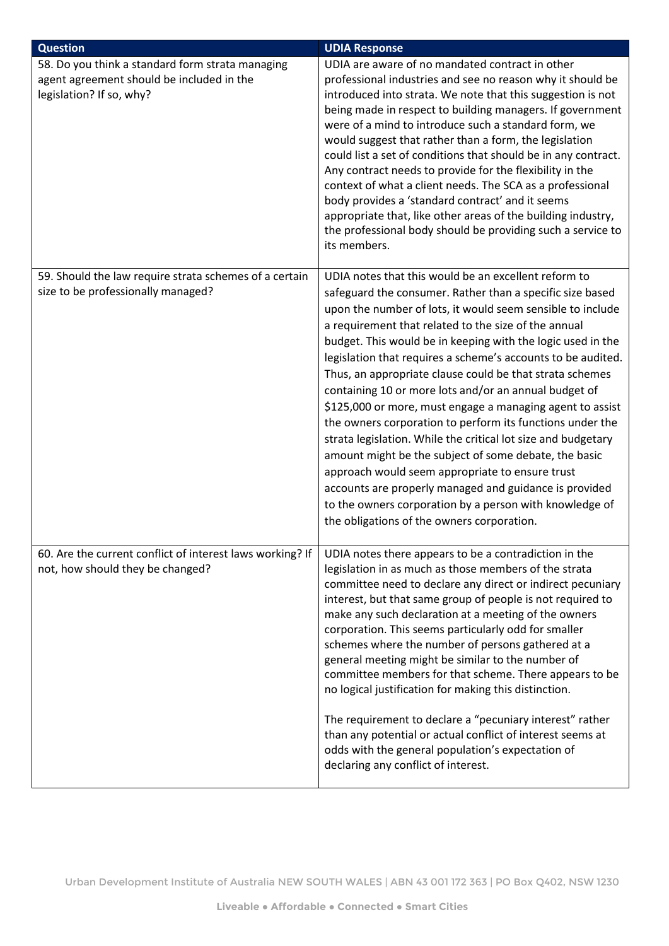| <b>Question</b>                                                                                                           | <b>UDIA Response</b>                                                                                                                                                                                                                                                                                                                                                                                                                                                                                                                                                                                                                                                                                                                                                                                                                                                                                                                                                  |
|---------------------------------------------------------------------------------------------------------------------------|-----------------------------------------------------------------------------------------------------------------------------------------------------------------------------------------------------------------------------------------------------------------------------------------------------------------------------------------------------------------------------------------------------------------------------------------------------------------------------------------------------------------------------------------------------------------------------------------------------------------------------------------------------------------------------------------------------------------------------------------------------------------------------------------------------------------------------------------------------------------------------------------------------------------------------------------------------------------------|
| 58. Do you think a standard form strata managing<br>agent agreement should be included in the<br>legislation? If so, why? | UDIA are aware of no mandated contract in other<br>professional industries and see no reason why it should be<br>introduced into strata. We note that this suggestion is not<br>being made in respect to building managers. If government<br>were of a mind to introduce such a standard form, we<br>would suggest that rather than a form, the legislation<br>could list a set of conditions that should be in any contract.<br>Any contract needs to provide for the flexibility in the<br>context of what a client needs. The SCA as a professional<br>body provides a 'standard contract' and it seems<br>appropriate that, like other areas of the building industry,<br>the professional body should be providing such a service to<br>its members.                                                                                                                                                                                                             |
| 59. Should the law require strata schemes of a certain<br>size to be professionally managed?                              | UDIA notes that this would be an excellent reform to<br>safeguard the consumer. Rather than a specific size based<br>upon the number of lots, it would seem sensible to include<br>a requirement that related to the size of the annual<br>budget. This would be in keeping with the logic used in the<br>legislation that requires a scheme's accounts to be audited.<br>Thus, an appropriate clause could be that strata schemes<br>containing 10 or more lots and/or an annual budget of<br>\$125,000 or more, must engage a managing agent to assist<br>the owners corporation to perform its functions under the<br>strata legislation. While the critical lot size and budgetary<br>amount might be the subject of some debate, the basic<br>approach would seem appropriate to ensure trust<br>accounts are properly managed and guidance is provided<br>to the owners corporation by a person with knowledge of<br>the obligations of the owners corporation. |
| 60. Are the current conflict of interest laws working? If<br>not, how should they be changed?                             | UDIA notes there appears to be a contradiction in the<br>legislation in as much as those members of the strata<br>committee need to declare any direct or indirect pecuniary<br>interest, but that same group of people is not required to<br>make any such declaration at a meeting of the owners<br>corporation. This seems particularly odd for smaller<br>schemes where the number of persons gathered at a<br>general meeting might be similar to the number of<br>committee members for that scheme. There appears to be<br>no logical justification for making this distinction.<br>The requirement to declare a "pecuniary interest" rather<br>than any potential or actual conflict of interest seems at<br>odds with the general population's expectation of<br>declaring any conflict of interest.                                                                                                                                                         |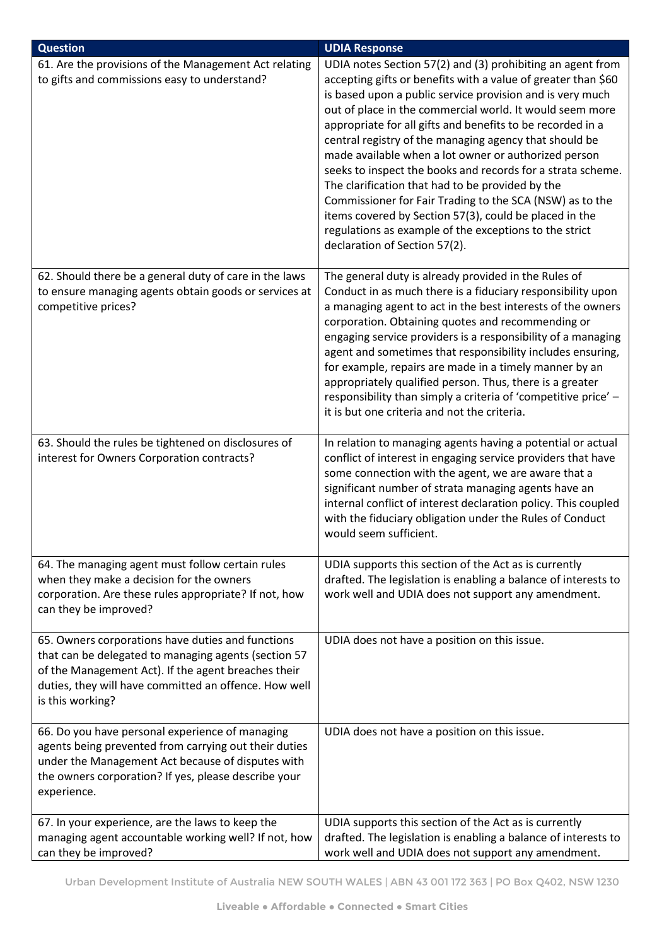| <b>Question</b>                                                                                                                                                                                                                               | <b>UDIA Response</b>                                                                                                                                                                                                                                                                                                                                                                                                                                                                                                                                                                                                                                                                                                                                                     |
|-----------------------------------------------------------------------------------------------------------------------------------------------------------------------------------------------------------------------------------------------|--------------------------------------------------------------------------------------------------------------------------------------------------------------------------------------------------------------------------------------------------------------------------------------------------------------------------------------------------------------------------------------------------------------------------------------------------------------------------------------------------------------------------------------------------------------------------------------------------------------------------------------------------------------------------------------------------------------------------------------------------------------------------|
| 61. Are the provisions of the Management Act relating<br>to gifts and commissions easy to understand?                                                                                                                                         | UDIA notes Section 57(2) and (3) prohibiting an agent from<br>accepting gifts or benefits with a value of greater than \$60<br>is based upon a public service provision and is very much<br>out of place in the commercial world. It would seem more<br>appropriate for all gifts and benefits to be recorded in a<br>central registry of the managing agency that should be<br>made available when a lot owner or authorized person<br>seeks to inspect the books and records for a strata scheme.<br>The clarification that had to be provided by the<br>Commissioner for Fair Trading to the SCA (NSW) as to the<br>items covered by Section 57(3), could be placed in the<br>regulations as example of the exceptions to the strict<br>declaration of Section 57(2). |
| 62. Should there be a general duty of care in the laws<br>to ensure managing agents obtain goods or services at<br>competitive prices?                                                                                                        | The general duty is already provided in the Rules of<br>Conduct in as much there is a fiduciary responsibility upon<br>a managing agent to act in the best interests of the owners<br>corporation. Obtaining quotes and recommending or<br>engaging service providers is a responsibility of a managing<br>agent and sometimes that responsibility includes ensuring,<br>for example, repairs are made in a timely manner by an<br>appropriately qualified person. Thus, there is a greater<br>responsibility than simply a criteria of 'competitive price' -<br>it is but one criteria and not the criteria.                                                                                                                                                            |
| 63. Should the rules be tightened on disclosures of<br>interest for Owners Corporation contracts?                                                                                                                                             | In relation to managing agents having a potential or actual<br>conflict of interest in engaging service providers that have<br>some connection with the agent, we are aware that a<br>significant number of strata managing agents have an<br>internal conflict of interest declaration policy. This coupled<br>with the fiduciary obligation under the Rules of Conduct<br>would seem sufficient.                                                                                                                                                                                                                                                                                                                                                                       |
| 64. The managing agent must follow certain rules<br>when they make a decision for the owners<br>corporation. Are these rules appropriate? If not, how<br>can they be improved?                                                                | UDIA supports this section of the Act as is currently<br>drafted. The legislation is enabling a balance of interests to<br>work well and UDIA does not support any amendment.                                                                                                                                                                                                                                                                                                                                                                                                                                                                                                                                                                                            |
| 65. Owners corporations have duties and functions<br>that can be delegated to managing agents (section 57<br>of the Management Act). If the agent breaches their<br>duties, they will have committed an offence. How well<br>is this working? | UDIA does not have a position on this issue.                                                                                                                                                                                                                                                                                                                                                                                                                                                                                                                                                                                                                                                                                                                             |
| 66. Do you have personal experience of managing<br>agents being prevented from carrying out their duties<br>under the Management Act because of disputes with<br>the owners corporation? If yes, please describe your<br>experience.          | UDIA does not have a position on this issue.                                                                                                                                                                                                                                                                                                                                                                                                                                                                                                                                                                                                                                                                                                                             |
| 67. In your experience, are the laws to keep the<br>managing agent accountable working well? If not, how<br>can they be improved?                                                                                                             | UDIA supports this section of the Act as is currently<br>drafted. The legislation is enabling a balance of interests to<br>work well and UDIA does not support any amendment.                                                                                                                                                                                                                                                                                                                                                                                                                                                                                                                                                                                            |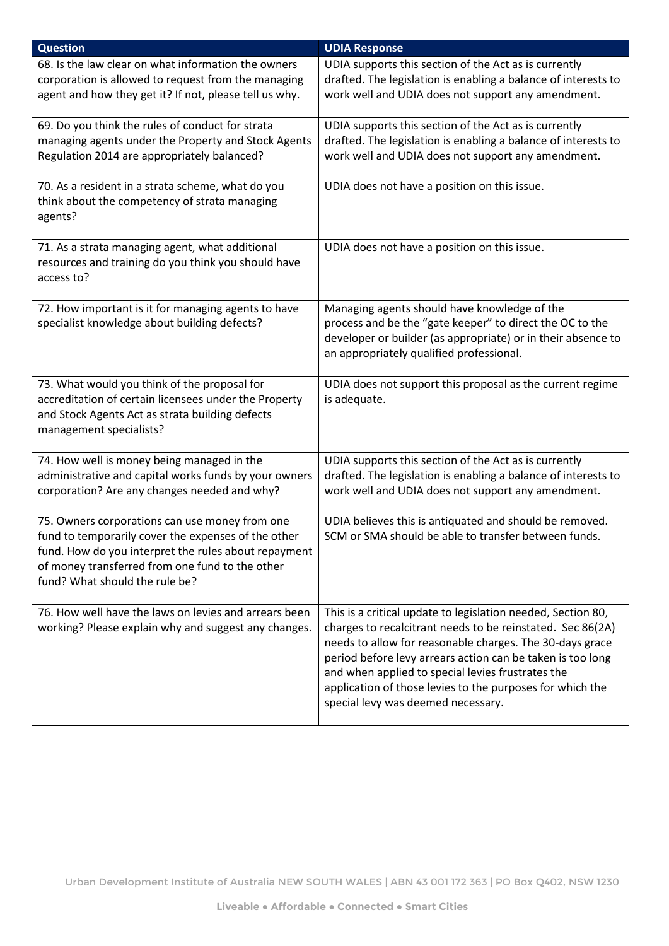| <b>Question</b>                                                                                                                                                                                                                                    | <b>UDIA Response</b>                                                                                                                                                                                                                                                                                                                                                                                         |
|----------------------------------------------------------------------------------------------------------------------------------------------------------------------------------------------------------------------------------------------------|--------------------------------------------------------------------------------------------------------------------------------------------------------------------------------------------------------------------------------------------------------------------------------------------------------------------------------------------------------------------------------------------------------------|
| 68. Is the law clear on what information the owners<br>corporation is allowed to request from the managing<br>agent and how they get it? If not, please tell us why.                                                                               | UDIA supports this section of the Act as is currently<br>drafted. The legislation is enabling a balance of interests to<br>work well and UDIA does not support any amendment.                                                                                                                                                                                                                                |
| 69. Do you think the rules of conduct for strata<br>managing agents under the Property and Stock Agents<br>Regulation 2014 are appropriately balanced?                                                                                             | UDIA supports this section of the Act as is currently<br>drafted. The legislation is enabling a balance of interests to<br>work well and UDIA does not support any amendment.                                                                                                                                                                                                                                |
| 70. As a resident in a strata scheme, what do you<br>think about the competency of strata managing<br>agents?                                                                                                                                      | UDIA does not have a position on this issue.                                                                                                                                                                                                                                                                                                                                                                 |
| 71. As a strata managing agent, what additional<br>resources and training do you think you should have<br>access to?                                                                                                                               | UDIA does not have a position on this issue.                                                                                                                                                                                                                                                                                                                                                                 |
| 72. How important is it for managing agents to have<br>specialist knowledge about building defects?                                                                                                                                                | Managing agents should have knowledge of the<br>process and be the "gate keeper" to direct the OC to the<br>developer or builder (as appropriate) or in their absence to<br>an appropriately qualified professional.                                                                                                                                                                                         |
| 73. What would you think of the proposal for<br>accreditation of certain licensees under the Property<br>and Stock Agents Act as strata building defects<br>management specialists?                                                                | UDIA does not support this proposal as the current regime<br>is adequate.                                                                                                                                                                                                                                                                                                                                    |
| 74. How well is money being managed in the<br>administrative and capital works funds by your owners<br>corporation? Are any changes needed and why?                                                                                                | UDIA supports this section of the Act as is currently<br>drafted. The legislation is enabling a balance of interests to<br>work well and UDIA does not support any amendment.                                                                                                                                                                                                                                |
| 75. Owners corporations can use money from one<br>fund to temporarily cover the expenses of the other<br>fund. How do you interpret the rules about repayment<br>of money transferred from one fund to the other<br>fund? What should the rule be? | UDIA believes this is antiquated and should be removed.<br>SCM or SMA should be able to transfer between funds.                                                                                                                                                                                                                                                                                              |
| 76. How well have the laws on levies and arrears been<br>working? Please explain why and suggest any changes.                                                                                                                                      | This is a critical update to legislation needed, Section 80,<br>charges to recalcitrant needs to be reinstated. Sec 86(2A)<br>needs to allow for reasonable charges. The 30-days grace<br>period before levy arrears action can be taken is too long<br>and when applied to special levies frustrates the<br>application of those levies to the purposes for which the<br>special levy was deemed necessary. |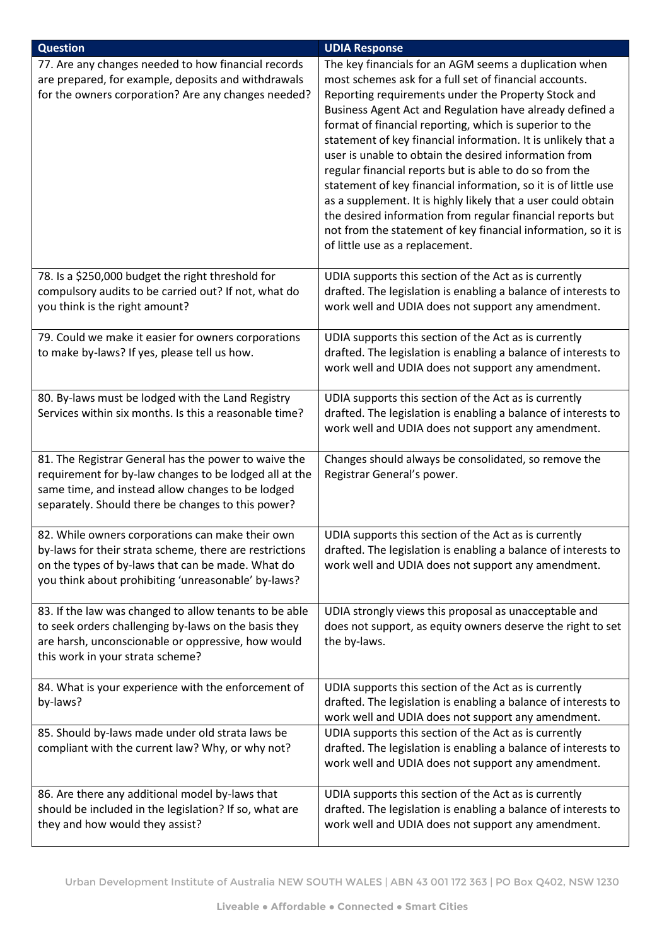| <b>Question</b>                                                                                                                                                                                                           | <b>UDIA Response</b>                                                                                                                                                                                                                                                                                                                                                                                                                                                                                                                                                                                                                                                                                                                                                                     |
|---------------------------------------------------------------------------------------------------------------------------------------------------------------------------------------------------------------------------|------------------------------------------------------------------------------------------------------------------------------------------------------------------------------------------------------------------------------------------------------------------------------------------------------------------------------------------------------------------------------------------------------------------------------------------------------------------------------------------------------------------------------------------------------------------------------------------------------------------------------------------------------------------------------------------------------------------------------------------------------------------------------------------|
| 77. Are any changes needed to how financial records<br>are prepared, for example, deposits and withdrawals<br>for the owners corporation? Are any changes needed?                                                         | The key financials for an AGM seems a duplication when<br>most schemes ask for a full set of financial accounts.<br>Reporting requirements under the Property Stock and<br>Business Agent Act and Regulation have already defined a<br>format of financial reporting, which is superior to the<br>statement of key financial information. It is unlikely that a<br>user is unable to obtain the desired information from<br>regular financial reports but is able to do so from the<br>statement of key financial information, so it is of little use<br>as a supplement. It is highly likely that a user could obtain<br>the desired information from regular financial reports but<br>not from the statement of key financial information, so it is<br>of little use as a replacement. |
| 78. Is a \$250,000 budget the right threshold for<br>compulsory audits to be carried out? If not, what do<br>you think is the right amount?                                                                               | UDIA supports this section of the Act as is currently<br>drafted. The legislation is enabling a balance of interests to<br>work well and UDIA does not support any amendment.                                                                                                                                                                                                                                                                                                                                                                                                                                                                                                                                                                                                            |
| 79. Could we make it easier for owners corporations<br>to make by-laws? If yes, please tell us how.                                                                                                                       | UDIA supports this section of the Act as is currently<br>drafted. The legislation is enabling a balance of interests to<br>work well and UDIA does not support any amendment.                                                                                                                                                                                                                                                                                                                                                                                                                                                                                                                                                                                                            |
| 80. By-laws must be lodged with the Land Registry<br>Services within six months. Is this a reasonable time?                                                                                                               | UDIA supports this section of the Act as is currently<br>drafted. The legislation is enabling a balance of interests to<br>work well and UDIA does not support any amendment.                                                                                                                                                                                                                                                                                                                                                                                                                                                                                                                                                                                                            |
| 81. The Registrar General has the power to waive the<br>requirement for by-law changes to be lodged all at the<br>same time, and instead allow changes to be lodged<br>separately. Should there be changes to this power? | Changes should always be consolidated, so remove the<br>Registrar General's power.                                                                                                                                                                                                                                                                                                                                                                                                                                                                                                                                                                                                                                                                                                       |
| 82. While owners corporations can make their own<br>by-laws for their strata scheme, there are restrictions<br>on the types of by-laws that can be made. What do<br>you think about prohibiting 'unreasonable' by-laws?   | UDIA supports this section of the Act as is currently<br>drafted. The legislation is enabling a balance of interests to<br>work well and UDIA does not support any amendment.                                                                                                                                                                                                                                                                                                                                                                                                                                                                                                                                                                                                            |
| 83. If the law was changed to allow tenants to be able<br>to seek orders challenging by-laws on the basis they<br>are harsh, unconscionable or oppressive, how would<br>this work in your strata scheme?                  | UDIA strongly views this proposal as unacceptable and<br>does not support, as equity owners deserve the right to set<br>the by-laws.                                                                                                                                                                                                                                                                                                                                                                                                                                                                                                                                                                                                                                                     |
| 84. What is your experience with the enforcement of<br>by-laws?                                                                                                                                                           | UDIA supports this section of the Act as is currently<br>drafted. The legislation is enabling a balance of interests to<br>work well and UDIA does not support any amendment.                                                                                                                                                                                                                                                                                                                                                                                                                                                                                                                                                                                                            |
| 85. Should by-laws made under old strata laws be<br>compliant with the current law? Why, or why not?                                                                                                                      | UDIA supports this section of the Act as is currently<br>drafted. The legislation is enabling a balance of interests to<br>work well and UDIA does not support any amendment.                                                                                                                                                                                                                                                                                                                                                                                                                                                                                                                                                                                                            |
| 86. Are there any additional model by-laws that<br>should be included in the legislation? If so, what are<br>they and how would they assist?                                                                              | UDIA supports this section of the Act as is currently<br>drafted. The legislation is enabling a balance of interests to<br>work well and UDIA does not support any amendment.                                                                                                                                                                                                                                                                                                                                                                                                                                                                                                                                                                                                            |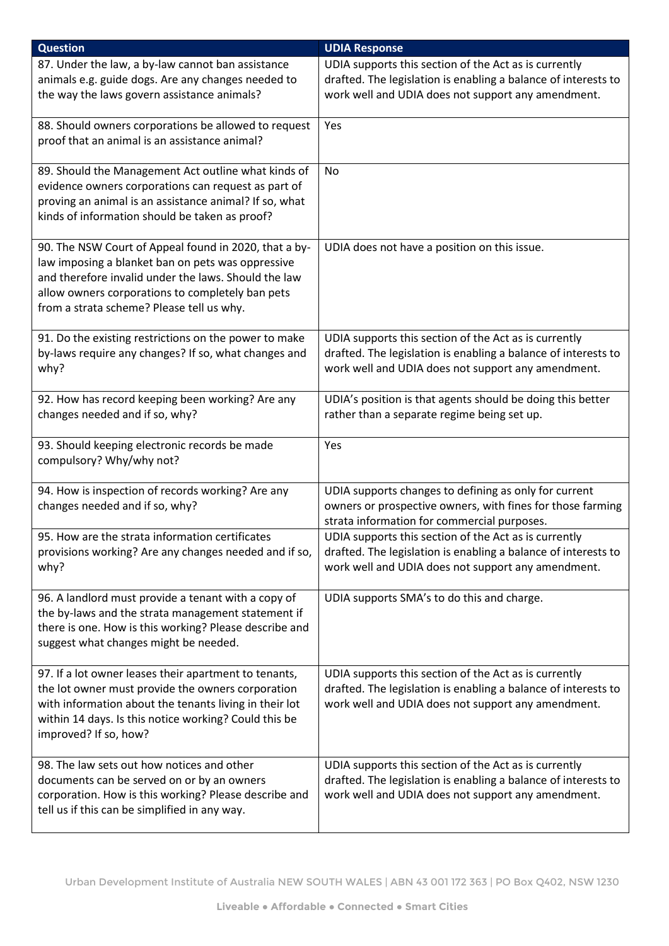| <b>Question</b>                                                                                                                                                                                                                                                     | <b>UDIA Response</b>                                                                                                                                                          |
|---------------------------------------------------------------------------------------------------------------------------------------------------------------------------------------------------------------------------------------------------------------------|-------------------------------------------------------------------------------------------------------------------------------------------------------------------------------|
| 87. Under the law, a by-law cannot ban assistance<br>animals e.g. guide dogs. Are any changes needed to<br>the way the laws govern assistance animals?                                                                                                              | UDIA supports this section of the Act as is currently<br>drafted. The legislation is enabling a balance of interests to<br>work well and UDIA does not support any amendment. |
| 88. Should owners corporations be allowed to request<br>proof that an animal is an assistance animal?                                                                                                                                                               | Yes                                                                                                                                                                           |
| 89. Should the Management Act outline what kinds of<br>evidence owners corporations can request as part of<br>proving an animal is an assistance animal? If so, what<br>kinds of information should be taken as proof?                                              | No.                                                                                                                                                                           |
| 90. The NSW Court of Appeal found in 2020, that a by-<br>law imposing a blanket ban on pets was oppressive<br>and therefore invalid under the laws. Should the law<br>allow owners corporations to completely ban pets<br>from a strata scheme? Please tell us why. | UDIA does not have a position on this issue.                                                                                                                                  |
| 91. Do the existing restrictions on the power to make<br>by-laws require any changes? If so, what changes and<br>why?                                                                                                                                               | UDIA supports this section of the Act as is currently<br>drafted. The legislation is enabling a balance of interests to<br>work well and UDIA does not support any amendment. |
| 92. How has record keeping been working? Are any<br>changes needed and if so, why?                                                                                                                                                                                  | UDIA's position is that agents should be doing this better<br>rather than a separate regime being set up.                                                                     |
| 93. Should keeping electronic records be made<br>compulsory? Why/why not?                                                                                                                                                                                           | Yes                                                                                                                                                                           |
| 94. How is inspection of records working? Are any<br>changes needed and if so, why?                                                                                                                                                                                 | UDIA supports changes to defining as only for current<br>owners or prospective owners, with fines for those farming<br>strata information for commercial purposes.            |
| 95. How are the strata information certificates<br>provisions working? Are any changes needed and if so,<br>why?                                                                                                                                                    | UDIA supports this section of the Act as is currently<br>drafted. The legislation is enabling a balance of interests to<br>work well and UDIA does not support any amendment. |
| 96. A landlord must provide a tenant with a copy of<br>the by-laws and the strata management statement if<br>there is one. How is this working? Please describe and<br>suggest what changes might be needed.                                                        | UDIA supports SMA's to do this and charge.                                                                                                                                    |
| 97. If a lot owner leases their apartment to tenants,<br>the lot owner must provide the owners corporation<br>with information about the tenants living in their lot<br>within 14 days. Is this notice working? Could this be<br>improved? If so, how?              | UDIA supports this section of the Act as is currently<br>drafted. The legislation is enabling a balance of interests to<br>work well and UDIA does not support any amendment. |
| 98. The law sets out how notices and other<br>documents can be served on or by an owners<br>corporation. How is this working? Please describe and<br>tell us if this can be simplified in any way.                                                                  | UDIA supports this section of the Act as is currently<br>drafted. The legislation is enabling a balance of interests to<br>work well and UDIA does not support any amendment. |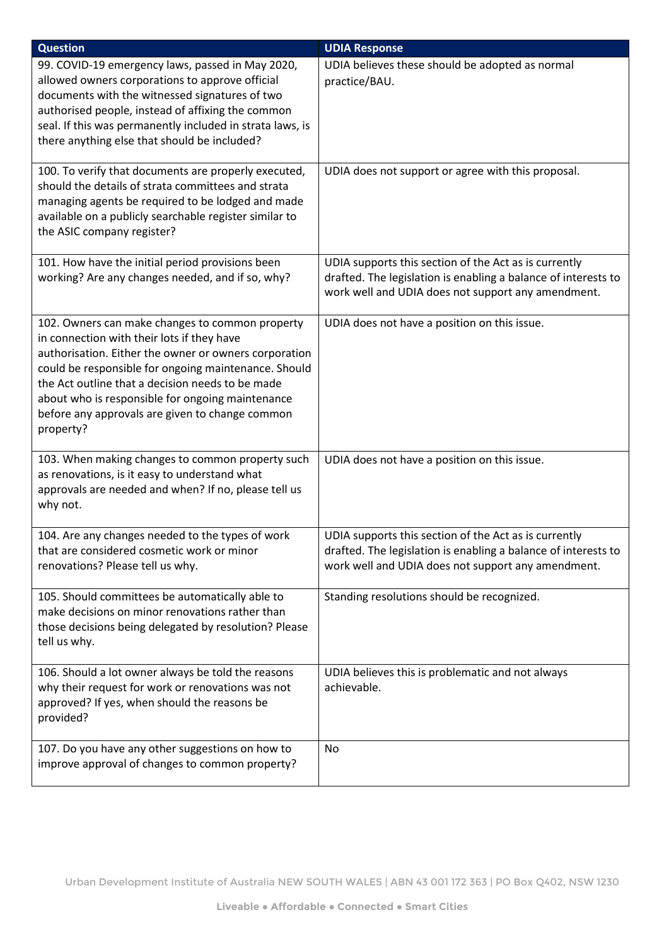| <b>Question</b>                                                                                                                                                                                                                                                                                                                                                                        | <b>UDIA Response</b>                                                                                                                                                          |
|----------------------------------------------------------------------------------------------------------------------------------------------------------------------------------------------------------------------------------------------------------------------------------------------------------------------------------------------------------------------------------------|-------------------------------------------------------------------------------------------------------------------------------------------------------------------------------|
| 99. COVID-19 emergency laws, passed in May 2020,<br>allowed owners corporations to approve official<br>documents with the witnessed signatures of two<br>authorised people, instead of affixing the common<br>seal. If this was permanently included in strata laws, is<br>there anything else that should be included?                                                                | UDIA believes these should be adopted as normal<br>practice/BAU.                                                                                                              |
| 100. To verify that documents are properly executed,<br>should the details of strata committees and strata<br>managing agents be required to be lodged and made<br>available on a publicly searchable register similar to<br>the ASIC company register?                                                                                                                                | UDIA does not support or agree with this proposal.                                                                                                                            |
| 101. How have the initial period provisions been<br>working? Are any changes needed, and if so, why?                                                                                                                                                                                                                                                                                   | UDIA supports this section of the Act as is currently<br>drafted. The legislation is enabling a balance of interests to<br>work well and UDIA does not support any amendment. |
| 102. Owners can make changes to common property<br>in connection with their lots if they have<br>authorisation. Either the owner or owners corporation<br>could be responsible for ongoing maintenance. Should<br>the Act outline that a decision needs to be made<br>about who is responsible for ongoing maintenance<br>before any approvals are given to change common<br>property? | UDIA does not have a position on this issue.                                                                                                                                  |
| 103. When making changes to common property such<br>as renovations, is it easy to understand what<br>approvals are needed and when? If no, please tell us<br>why not.                                                                                                                                                                                                                  | UDIA does not have a position on this issue.                                                                                                                                  |
| 104. Are any changes needed to the types of work<br>that are considered cosmetic work or minor<br>renovations? Please tell us why.                                                                                                                                                                                                                                                     | UDIA supports this section of the Act as is currently<br>drafted. The legislation is enabling a balance of interests to<br>work well and UDIA does not support any amendment. |
| 105. Should committees be automatically able to<br>make decisions on minor renovations rather than<br>those decisions being delegated by resolution? Please<br>tell us why.                                                                                                                                                                                                            | Standing resolutions should be recognized.                                                                                                                                    |
| 106. Should a lot owner always be told the reasons<br>why their request for work or renovations was not<br>approved? If yes, when should the reasons be<br>provided?                                                                                                                                                                                                                   | UDIA believes this is problematic and not always<br>achievable.                                                                                                               |
| 107. Do you have any other suggestions on how to<br>improve approval of changes to common property?                                                                                                                                                                                                                                                                                    | No                                                                                                                                                                            |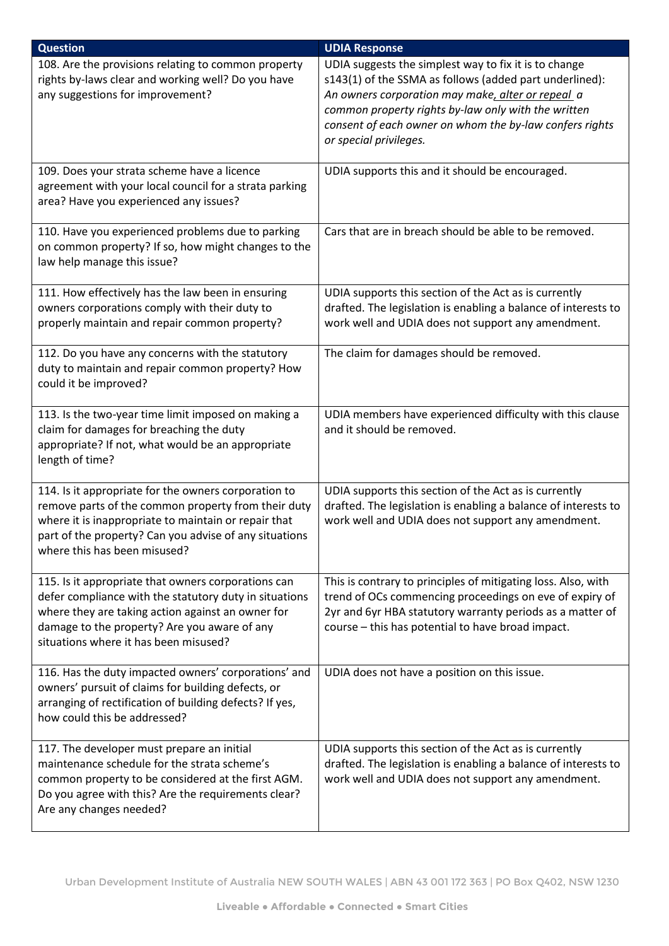| <b>Question</b>                                                                                                                                                                                                                                               | <b>UDIA Response</b>                                                                                                                                                                                                                                                                                              |
|---------------------------------------------------------------------------------------------------------------------------------------------------------------------------------------------------------------------------------------------------------------|-------------------------------------------------------------------------------------------------------------------------------------------------------------------------------------------------------------------------------------------------------------------------------------------------------------------|
| 108. Are the provisions relating to common property<br>rights by-laws clear and working well? Do you have<br>any suggestions for improvement?                                                                                                                 | UDIA suggests the simplest way to fix it is to change<br>s143(1) of the SSMA as follows (added part underlined):<br>An owners corporation may make, alter or repeal a<br>common property rights by-law only with the written<br>consent of each owner on whom the by-law confers rights<br>or special privileges. |
| 109. Does your strata scheme have a licence<br>agreement with your local council for a strata parking<br>area? Have you experienced any issues?                                                                                                               | UDIA supports this and it should be encouraged.                                                                                                                                                                                                                                                                   |
| 110. Have you experienced problems due to parking<br>on common property? If so, how might changes to the<br>law help manage this issue?                                                                                                                       | Cars that are in breach should be able to be removed.                                                                                                                                                                                                                                                             |
| 111. How effectively has the law been in ensuring<br>owners corporations comply with their duty to<br>properly maintain and repair common property?                                                                                                           | UDIA supports this section of the Act as is currently<br>drafted. The legislation is enabling a balance of interests to<br>work well and UDIA does not support any amendment.                                                                                                                                     |
| 112. Do you have any concerns with the statutory<br>duty to maintain and repair common property? How<br>could it be improved?                                                                                                                                 | The claim for damages should be removed.                                                                                                                                                                                                                                                                          |
| 113. Is the two-year time limit imposed on making a<br>claim for damages for breaching the duty<br>appropriate? If not, what would be an appropriate<br>length of time?                                                                                       | UDIA members have experienced difficulty with this clause<br>and it should be removed.                                                                                                                                                                                                                            |
| 114. Is it appropriate for the owners corporation to<br>remove parts of the common property from their duty<br>where it is inappropriate to maintain or repair that<br>part of the property? Can you advise of any situations<br>where this has been misused? | UDIA supports this section of the Act as is currently<br>drafted. The legislation is enabling a balance of interests to<br>work well and UDIA does not support any amendment.                                                                                                                                     |
| 115. Is it appropriate that owners corporations can<br>defer compliance with the statutory duty in situations<br>where they are taking action against an owner for<br>damage to the property? Are you aware of any<br>situations where it has been misused?   | This is contrary to principles of mitigating loss. Also, with<br>trend of OCs commencing proceedings on eve of expiry of<br>2yr and 6yr HBA statutory warranty periods as a matter of<br>course - this has potential to have broad impact.                                                                        |
| 116. Has the duty impacted owners' corporations' and<br>owners' pursuit of claims for building defects, or<br>arranging of rectification of building defects? If yes,<br>how could this be addressed?                                                         | UDIA does not have a position on this issue.                                                                                                                                                                                                                                                                      |
| 117. The developer must prepare an initial<br>maintenance schedule for the strata scheme's<br>common property to be considered at the first AGM.<br>Do you agree with this? Are the requirements clear?<br>Are any changes needed?                            | UDIA supports this section of the Act as is currently<br>drafted. The legislation is enabling a balance of interests to<br>work well and UDIA does not support any amendment.                                                                                                                                     |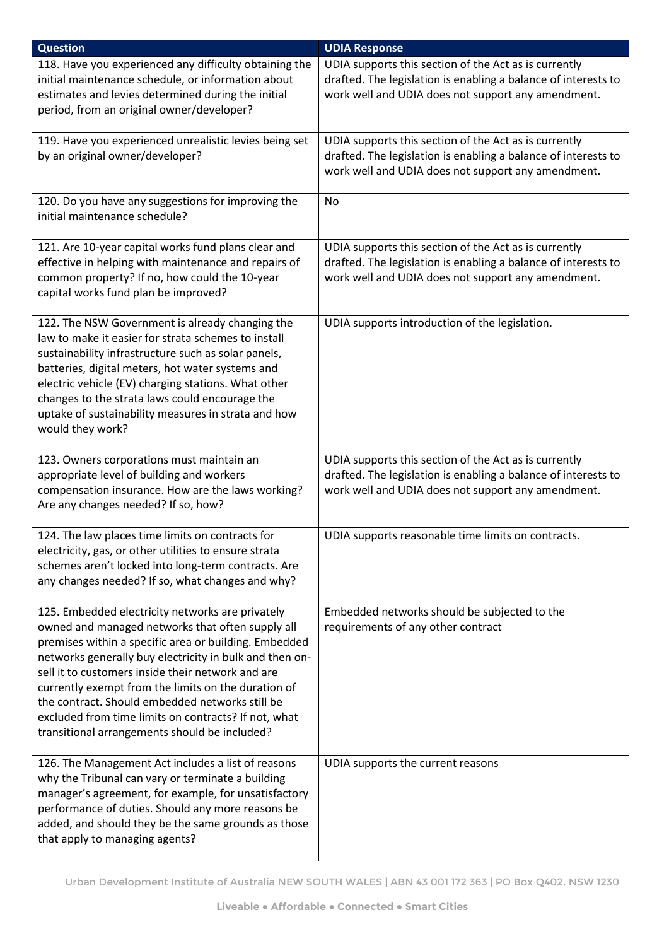| <b>Question</b>                                                                                                                                                                                                                                                                                                                                                                                                                                                                                  | <b>UDIA Response</b>                                                                                                                                                          |
|--------------------------------------------------------------------------------------------------------------------------------------------------------------------------------------------------------------------------------------------------------------------------------------------------------------------------------------------------------------------------------------------------------------------------------------------------------------------------------------------------|-------------------------------------------------------------------------------------------------------------------------------------------------------------------------------|
| 118. Have you experienced any difficulty obtaining the<br>initial maintenance schedule, or information about<br>estimates and levies determined during the initial<br>period, from an original owner/developer?                                                                                                                                                                                                                                                                                  | UDIA supports this section of the Act as is currently<br>drafted. The legislation is enabling a balance of interests to<br>work well and UDIA does not support any amendment. |
| 119. Have you experienced unrealistic levies being set<br>by an original owner/developer?                                                                                                                                                                                                                                                                                                                                                                                                        | UDIA supports this section of the Act as is currently<br>drafted. The legislation is enabling a balance of interests to<br>work well and UDIA does not support any amendment. |
| 120. Do you have any suggestions for improving the<br>initial maintenance schedule?                                                                                                                                                                                                                                                                                                                                                                                                              | No                                                                                                                                                                            |
| 121. Are 10-year capital works fund plans clear and<br>effective in helping with maintenance and repairs of<br>common property? If no, how could the 10-year<br>capital works fund plan be improved?                                                                                                                                                                                                                                                                                             | UDIA supports this section of the Act as is currently<br>drafted. The legislation is enabling a balance of interests to<br>work well and UDIA does not support any amendment. |
| 122. The NSW Government is already changing the<br>law to make it easier for strata schemes to install<br>sustainability infrastructure such as solar panels,<br>batteries, digital meters, hot water systems and<br>electric vehicle (EV) charging stations. What other<br>changes to the strata laws could encourage the<br>uptake of sustainability measures in strata and how<br>would they work?                                                                                            | UDIA supports introduction of the legislation.                                                                                                                                |
| 123. Owners corporations must maintain an<br>appropriate level of building and workers<br>compensation insurance. How are the laws working?<br>Are any changes needed? If so, how?                                                                                                                                                                                                                                                                                                               | UDIA supports this section of the Act as is currently<br>drafted. The legislation is enabling a balance of interests to<br>work well and UDIA does not support any amendment. |
| 124. The law places time limits on contracts for<br>electricity, gas, or other utilities to ensure strata<br>schemes aren't locked into long-term contracts. Are<br>any changes needed? If so, what changes and why?                                                                                                                                                                                                                                                                             | UDIA supports reasonable time limits on contracts.                                                                                                                            |
| 125. Embedded electricity networks are privately<br>owned and managed networks that often supply all<br>premises within a specific area or building. Embedded<br>networks generally buy electricity in bulk and then on-<br>sell it to customers inside their network and are<br>currently exempt from the limits on the duration of<br>the contract. Should embedded networks still be<br>excluded from time limits on contracts? If not, what<br>transitional arrangements should be included? | Embedded networks should be subjected to the<br>requirements of any other contract                                                                                            |
| 126. The Management Act includes a list of reasons<br>why the Tribunal can vary or terminate a building<br>manager's agreement, for example, for unsatisfactory<br>performance of duties. Should any more reasons be<br>added, and should they be the same grounds as those<br>that apply to managing agents?                                                                                                                                                                                    | UDIA supports the current reasons                                                                                                                                             |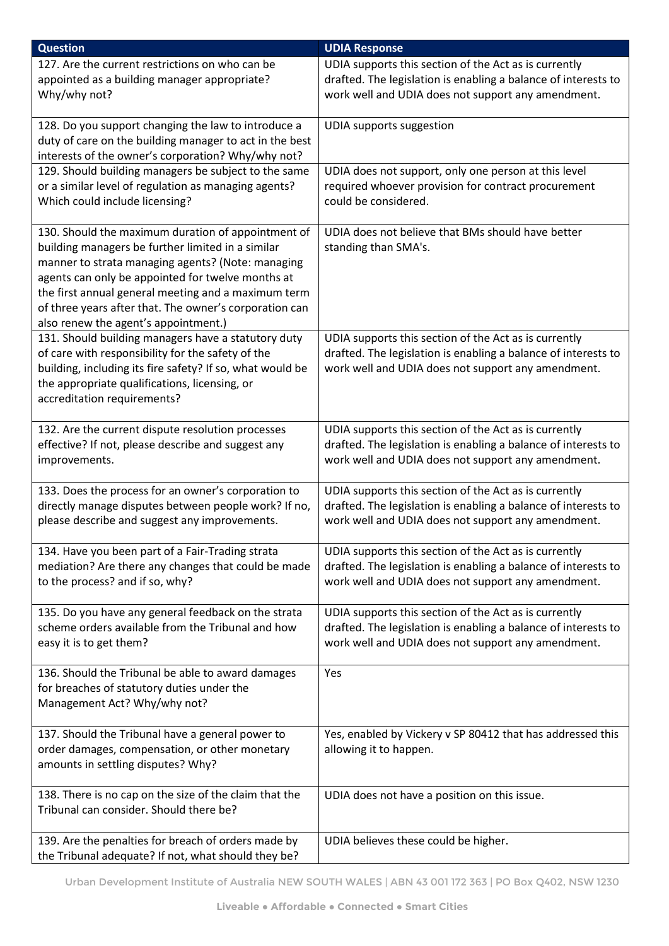| <b>Question</b>                                                                                                                                                                                                                                                                                                                                                            | <b>UDIA Response</b>                                                                                                                                                          |
|----------------------------------------------------------------------------------------------------------------------------------------------------------------------------------------------------------------------------------------------------------------------------------------------------------------------------------------------------------------------------|-------------------------------------------------------------------------------------------------------------------------------------------------------------------------------|
| 127. Are the current restrictions on who can be<br>appointed as a building manager appropriate?<br>Why/why not?                                                                                                                                                                                                                                                            | UDIA supports this section of the Act as is currently<br>drafted. The legislation is enabling a balance of interests to<br>work well and UDIA does not support any amendment. |
| 128. Do you support changing the law to introduce a<br>duty of care on the building manager to act in the best<br>interests of the owner's corporation? Why/why not?                                                                                                                                                                                                       | <b>UDIA supports suggestion</b>                                                                                                                                               |
| 129. Should building managers be subject to the same<br>or a similar level of regulation as managing agents?<br>Which could include licensing?                                                                                                                                                                                                                             | UDIA does not support, only one person at this level<br>required whoever provision for contract procurement<br>could be considered.                                           |
| 130. Should the maximum duration of appointment of<br>building managers be further limited in a similar<br>manner to strata managing agents? (Note: managing<br>agents can only be appointed for twelve months at<br>the first annual general meeting and a maximum term<br>of three years after that. The owner's corporation can<br>also renew the agent's appointment.) | UDIA does not believe that BMs should have better<br>standing than SMA's.                                                                                                     |
| 131. Should building managers have a statutory duty<br>of care with responsibility for the safety of the<br>building, including its fire safety? If so, what would be<br>the appropriate qualifications, licensing, or<br>accreditation requirements?                                                                                                                      | UDIA supports this section of the Act as is currently<br>drafted. The legislation is enabling a balance of interests to<br>work well and UDIA does not support any amendment. |
| 132. Are the current dispute resolution processes<br>effective? If not, please describe and suggest any<br>improvements.                                                                                                                                                                                                                                                   | UDIA supports this section of the Act as is currently<br>drafted. The legislation is enabling a balance of interests to<br>work well and UDIA does not support any amendment. |
| 133. Does the process for an owner's corporation to<br>directly manage disputes between people work? If no,<br>please describe and suggest any improvements.                                                                                                                                                                                                               | UDIA supports this section of the Act as is currently<br>drafted. The legislation is enabling a balance of interests to<br>work well and UDIA does not support any amendment. |
| 134. Have you been part of a Fair-Trading strata<br>mediation? Are there any changes that could be made<br>to the process? and if so, why?                                                                                                                                                                                                                                 | UDIA supports this section of the Act as is currently<br>drafted. The legislation is enabling a balance of interests to<br>work well and UDIA does not support any amendment. |
| 135. Do you have any general feedback on the strata<br>scheme orders available from the Tribunal and how<br>easy it is to get them?                                                                                                                                                                                                                                        | UDIA supports this section of the Act as is currently<br>drafted. The legislation is enabling a balance of interests to<br>work well and UDIA does not support any amendment. |
| 136. Should the Tribunal be able to award damages<br>for breaches of statutory duties under the<br>Management Act? Why/why not?                                                                                                                                                                                                                                            | Yes                                                                                                                                                                           |
| 137. Should the Tribunal have a general power to<br>order damages, compensation, or other monetary<br>amounts in settling disputes? Why?                                                                                                                                                                                                                                   | Yes, enabled by Vickery v SP 80412 that has addressed this<br>allowing it to happen.                                                                                          |
| 138. There is no cap on the size of the claim that the<br>Tribunal can consider. Should there be?                                                                                                                                                                                                                                                                          | UDIA does not have a position on this issue.                                                                                                                                  |
| 139. Are the penalties for breach of orders made by<br>the Tribunal adequate? If not, what should they be?                                                                                                                                                                                                                                                                 | UDIA believes these could be higher.                                                                                                                                          |